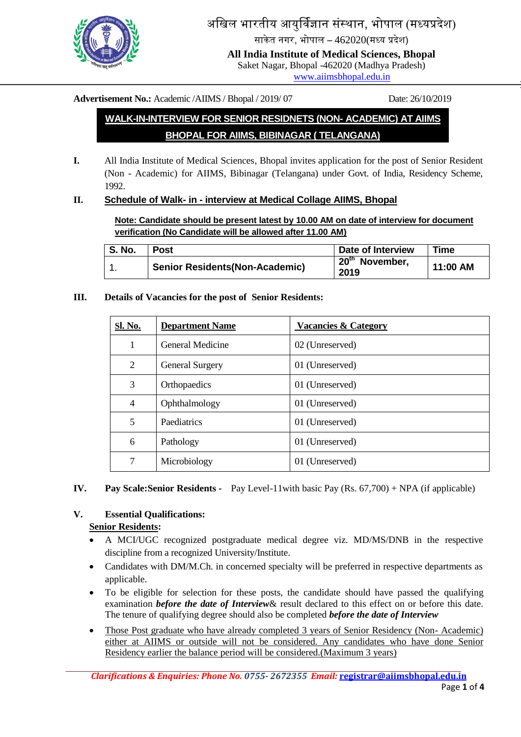

# अखिल भारतीय आयुर्विज्ञान संस्थान, भोपाल (मध्यप्रदेश)

साके त नगर, भोपाल – 462020(मध्य प्रदेश)

**All India Institute of Medical Sciences, Bhopal**

Saket Nagar, Bhopal -462020 (Madhya Pradesh)

[www.aiimsbhopal.edu.in](http://www.aiimsbhopal.edu.in/)

#### **Advertisement No.:** Academic /AIIMS / Bhopal / 2019/ 07 Date: 26/10/2019

# **WALK-IN-INTERVIEW FOR SENIOR RESIDNETS (NON- ACADEMIC) AT AIIMS BHOPAL FOR AIIMS, BIBINAGAR ( TELANGANA)**

**I.** All India Institute of Medical Sciences, Bhopal invites application for the post of Senior Resident (Non - Academic) for AIIMS, Bibinagar (Telangana) under Govt. of India, Residency Scheme, 1992.

# **II. Schedule of Walk- in - interview at Medical Collage AIIMS, Bhopal**

**Note: Candidate should be present latest by 10.00 AM on date of interview for document verification (No Candidate will be allowed after 11.00 AM)**

| <b>S. No.</b> | <b>Post</b>                           | Date of Interview                  | Time     |
|---------------|---------------------------------------|------------------------------------|----------|
|               | <b>Senior Residents(Non-Academic)</b> | 20 <sup>th</sup> November,<br>2019 | 11:00 AM |

#### **III. Details of Vacancies for the post of Senior Residents:**

| <b>Sl. No.</b> | <b>Department Name</b> | <b>Vacancies &amp; Category</b> |
|----------------|------------------------|---------------------------------|
| 1              | General Medicine       | 02 (Unreserved)                 |
| 2              | <b>General Surgery</b> | 01 (Unreserved)                 |
| 3              | <b>Orthopaedics</b>    | 01 (Unreserved)                 |
| 4              | Ophthalmology          | 01 (Unreserved)                 |
| 5              | Paediatrics            | 01 (Unreserved)                 |
| 6              | Pathology              | 01 (Unreserved)                 |
| 7              | Microbiology           | 01 (Unreserved)                 |

#### **IV. Pay Scale:Senior Residents -** Pay Level-11with basic Pay (Rs. 67,700) + NPA (if applicable)

# **V. Essential Qualifications:**

#### **Senior Residents:**

- A MCI/UGC recognized postgraduate medical degree viz. MD/MS/DNB in the respective discipline from a recognized University/Institute.
- Candidates with DM/M.Ch. in concerned specialty will be preferred in respective departments as applicable.
- To be eligible for selection for these posts, the candidate should have passed the qualifying examination *before the date of Interview*& result declared to this effect on or before this date. The tenure of qualifying degree should also be completed *before the date of Interview*
- Those Post graduate who have already completed 3 years of Senior Residency (Non- Academic) either at AIIMS or outside will not be considered. Any candidates who have done Senior Residency earlier the balance period will be considered.(Maximum 3 years)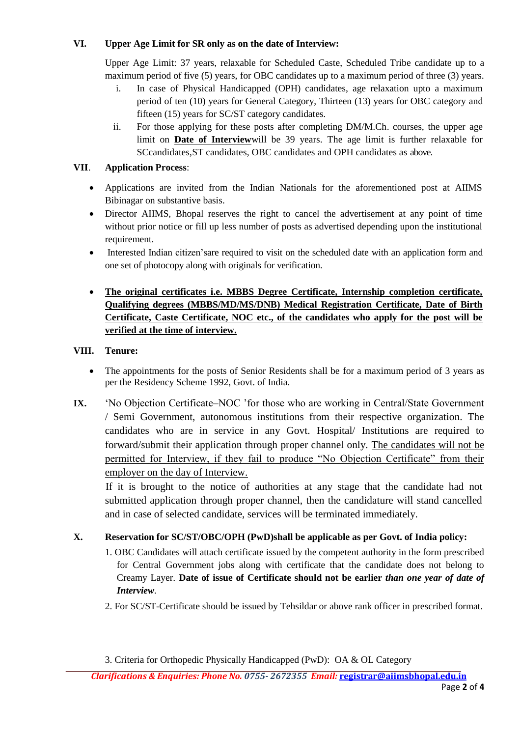# **VI. Upper Age Limit for SR only as on the date of Interview:**

Upper Age Limit: 37 years, relaxable for Scheduled Caste, Scheduled Tribe candidate up to a maximum period of five (5) years, for OBC candidates up to a maximum period of three (3) years.

- i. In case of Physical Handicapped (OPH) candidates, age relaxation upto a maximum period of ten (10) years for General Category, Thirteen (13) years for OBC category and fifteen (15) years for SC/ST category candidates.
- ii. For those applying for these posts after completing DM/M.Ch. courses, the upper age limit on **Date of Interview**will be 39 years. The age limit is further relaxable for SCcandidates,ST candidates, OBC candidates and OPH candidates as above.

# **VII**. **Application Process**:

- Applications are invited from the Indian Nationals for the aforementioned post at AIIMS Bibinagar on substantive basis.
- Director AIIMS, Bhopal reserves the right to cancel the advertisement at any point of time without prior notice or fill up less number of posts as advertised depending upon the institutional requirement.
- Interested Indian citizen'sare required to visit on the scheduled date with an application form and one set of photocopy along with originals for verification.
- **The original certificates i.e. MBBS Degree Certificate, Internship completion certificate, Qualifying degrees (MBBS/MD/MS/DNB) Medical Registration Certificate, Date of Birth Certificate, Caste Certificate, NOC etc., of the candidates who apply for the post will be verified at the time of interview.**

# **VIII. Tenure:**

- The appointments for the posts of Senior Residents shall be for a maximum period of 3 years as per the Residency Scheme 1992, Govt. of India.
- **IX.** 'No Objection Certificate–NOC 'for those who are working in Central/State Government / Semi Government, autonomous institutions from their respective organization. The candidates who are in service in any Govt. Hospital/ Institutions are required to forward/submit their application through proper channel only. The candidates will not be permitted for Interview, if they fail to produce "No Objection Certificate" from their employer on the day of Interview.

If it is brought to the notice of authorities at any stage that the candidate had not submitted application through proper channel, then the candidature will stand cancelled and in case of selected candidate, services will be terminated immediately.

# **X. Reservation for SC/ST/OBC/OPH (PwD)shall be applicable as per Govt. of India policy:**

- 1. OBC Candidates will attach certificate issued by the competent authority in the form prescribed for Central Government jobs along with certificate that the candidate does not belong to Creamy Layer. **Date of issue of Certificate should not be earlier** *than one year of date of Interview.*
- 2. For SC/ST-Certificate should be issued by Tehsildar or above rank officer in prescribed format.

<sup>3.</sup> Criteria for Orthopedic Physically Handicapped (PwD): OA & OL Category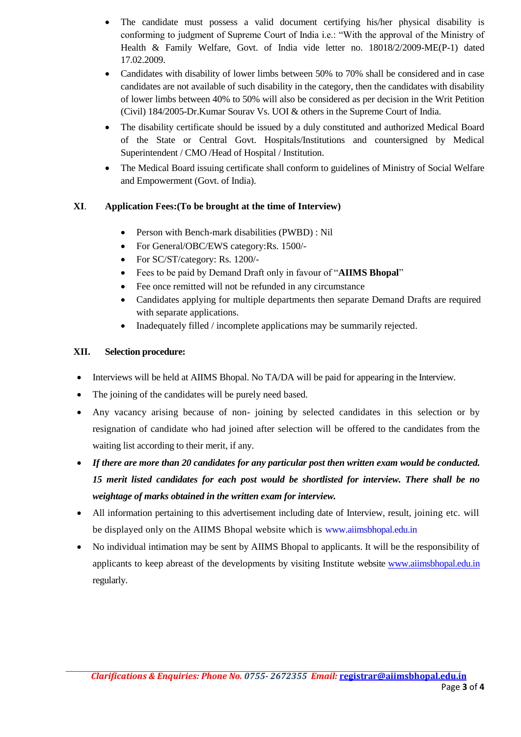- The candidate must possess a valid document certifying his/her physical disability is conforming to judgment of Supreme Court of India i.e.: "With the approval of the Ministry of Health & Family Welfare, Govt. of India vide letter no. 18018/2/2009-ME(P-1) dated 17.02.2009.
- Candidates with disability of lower limbs between 50% to 70% shall be considered and in case candidates are not available of such disability in the category, then the candidates with disability of lower limbs between 40% to 50% will also be considered as per decision in the Writ Petition (Civil) 184/2005-Dr.Kumar Sourav Vs. UOI & others in the Supreme Court of India.
- The disability certificate should be issued by a duly constituted and authorized Medical Board of the State or Central Govt. Hospitals/Institutions and countersigned by Medical Superintendent / CMO /Head of Hospital / Institution.
- The Medical Board issuing certificate shall conform to guidelines of Ministry of Social Welfare and Empowerment (Govt. of India).

# **XI**. **Application Fees:(To be brought at the time of Interview)**

- Person with Bench-mark disabilities (PWBD) : Nil
- For General/OBC/EWS category:Rs. 1500/-
- For SC/ST/category: Rs. 1200/-
- Fees to be paid by Demand Draft only in favour of "**AIIMS Bhopal**"
- Fee once remitted will not be refunded in any circumstance
- Candidates applying for multiple departments then separate Demand Drafts are required with separate applications.
- Inadequately filled / incomplete applications may be summarily rejected.

# **XII. Selection procedure:**

- Interviews will be held at AIIMS Bhopal. No TA/DA will be paid for appearing in the Interview.
- The joining of the candidates will be purely need based.
- Any vacancy arising because of non- joining by selected candidates in this selection or by resignation of candidate who had joined after selection will be offered to the candidates from the waiting list according to their merit, if any.
- *If there are more than 20 candidates for any particular post then written exam would be conducted. 15 merit listed candidates for each post would be shortlisted for interview. There shall be no weightage of marks obtained in the written exam for interview.*
- All information pertaining to this advertisement including date of Interview, result, joining etc. will be displayed only on the AIIMS Bhopal website which is [www.aiimsbhopal.edu.in](http://www.aiimsbhopal.edu.in/)
- No individual intimation may be sent by AIIMS Bhopal to applicants. It will be the responsibility of applicants to keep abreast of the developments by visiting Institute website [www.aiimsbhopal.edu.in](http://www.aiimsbhopal.edu.in/) regularly.